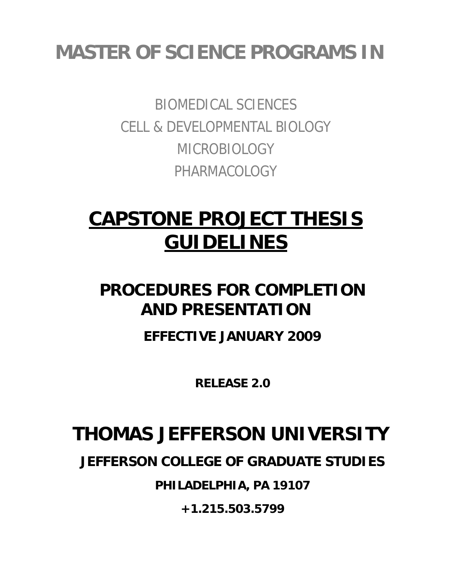## **MASTER OF SCIENCE PROGRAMS IN**

BIOMEDICAL SCIENCES CELL & DEVELOPMENTAL BIOLOGY MICROBIOLOGY PHARMACOLOGY

# **CAPSTONE PROJECT THESIS GUIDELINES**

### **PROCEDURES FOR COMPLETION AND PRESENTATION**

**EFFECTIVE JANUARY 2009** 

**RELEASE 2.0** 

## **THOMAS JEFFERSON UNIVERSITY**

**JEFFERSON COLLEGE OF GRADUATE STUDIES** 

**PHILADELPHIA, PA 19107** 

**+1.215.503.5799**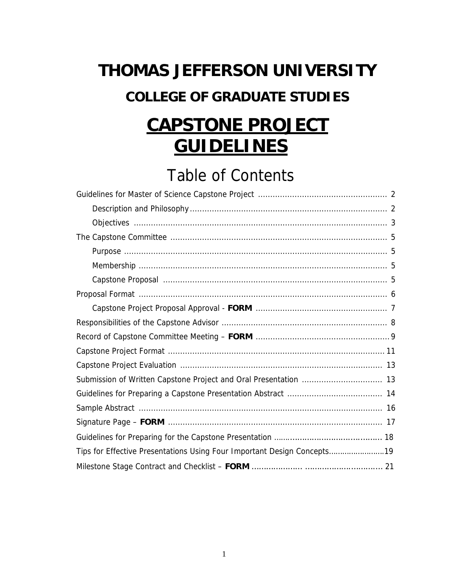# **THOMAS JEFFERSON UNIVERSITY COLLEGE OF GRADUATE STUDIES CAPSTONE PROJECT**

# **GUIDELINES**

### Table of Contents

| Tips for Effective Presentations Using Four Important Design Concepts19 |
|-------------------------------------------------------------------------|
|                                                                         |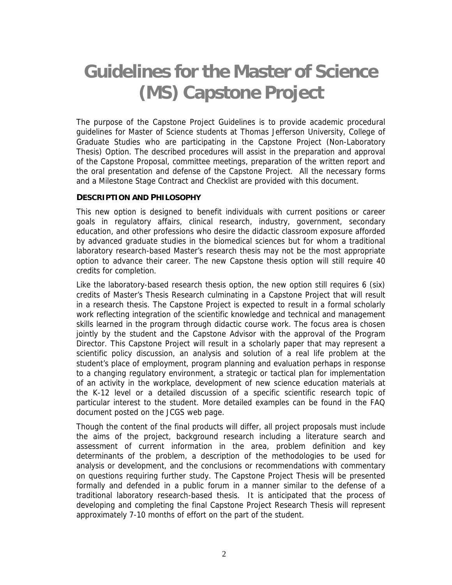## **Guidelines for the Master of Science (MS) Capstone Project**

The purpose of the Capstone Project Guidelines is to provide academic procedural guidelines for Master of Science students at Thomas Jefferson University, College of Graduate Studies who are participating in the Capstone Project (Non-Laboratory Thesis) Option. The described procedures will assist in the preparation and approval of the Capstone Proposal, committee meetings, preparation of the written report and the oral presentation and defense of the Capstone Project. All the necessary forms and a Milestone Stage Contract and Checklist are provided with this document.

#### **DESCRIPTION AND PHILOSOPHY**

This new option is designed to benefit individuals with current positions or career goals in regulatory affairs, clinical research, industry, government, secondary education, and other professions who desire the didactic classroom exposure afforded by advanced graduate studies in the biomedical sciences but for whom a traditional laboratory research-based Master's research thesis may not be the most appropriate option to advance their career. The new Capstone thesis option will still require 40 credits for completion.

Like the laboratory-based research thesis option, the new option still requires 6 (six) credits of Master's Thesis Research culminating in a Capstone Project that will result in a research thesis. The Capstone Project is expected to result in a formal scholarly work reflecting integration of the scientific knowledge and technical and management skills learned in the program through didactic course work. The focus area is chosen jointly by the student and the Capstone Advisor with the approval of the Program Director. This Capstone Project will result in a scholarly paper that may represent a scientific policy discussion, an analysis and solution of a real life problem at the student's place of employment, program planning and evaluation perhaps in response to a changing regulatory environment, a strategic or tactical plan for implementation of an activity in the workplace, development of new science education materials at the K-12 level or a detailed discussion of a specific scientific research topic of particular interest to the student. More detailed examples can be found in the FAQ document posted on the JCGS web page.

Though the content of the final products will differ, all project proposals must include the aims of the project, background research including a literature search and assessment of current information in the area, problem definition and key determinants of the problem, a description of the methodologies to be used for analysis or development, and the conclusions or recommendations with commentary on questions requiring further study. The Capstone Project Thesis will be presented formally and defended in a public forum in a manner similar to the defense of a traditional laboratory research-based thesis. It is anticipated that the process of developing and completing the final Capstone Project Research Thesis will represent approximately 7-10 months of effort on the part of the student.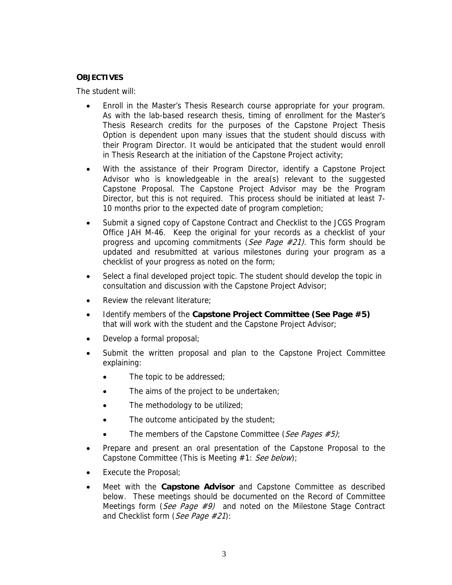#### **OBJECTIVES**

The student will:

- Enroll in the Master's Thesis Research course appropriate for your program. As with the lab-based research thesis, timing of enrollment for the Master's Thesis Research credits for the purposes of the Capstone Project Thesis Option is dependent upon many issues that the student should discuss with their Program Director. It would be anticipated that the student would enroll in Thesis Research at the initiation of the Capstone Project activity;
- With the assistance of their Program Director, identify a Capstone Project Advisor who is knowledgeable in the area(s) relevant to the suggested Capstone Proposal. The Capstone Project Advisor may be the Program Director, but this is not required. This process should be initiated at least 7- 10 months prior to the expected date of program completion;
- Submit a signed copy of Capstone Contract and Checklist to the JCGS Program Office JAH M-46. Keep the original for your records as a checklist of your progress and upcoming commitments (See Page  $\#21$ ). This form should be updated and resubmitted at various milestones during your program as a checklist of your progress as noted on the form;
- Select a final developed project topic. The student should develop the topic in consultation and discussion with the Capstone Project Advisor;
- Review the relevant literature:
- Identify members of the **Capstone Project Committee (See Page #5)**  that will work with the student and the Capstone Project Advisor;
- Develop a formal proposal;
- Submit the written proposal and plan to the Capstone Project Committee explaining:
	- The topic to be addressed;
	- The aims of the project to be undertaken;
	- The methodology to be utilized;
	- The outcome anticipated by the student;
	- The members of the Capstone Committee (See Pages #5);
- Prepare and present an oral presentation of the Capstone Proposal to the Capstone Committee (This is Meeting #1: See below);
- Execute the Proposal;
- Meet with the **Capstone Advisor** and Capstone Committee as described below. These meetings should be documented on the Record of Committee Meetings form (See Page  $\#\mathcal{P}$ ) and noted on the Milestone Stage Contract and Checklist form (See Page #21):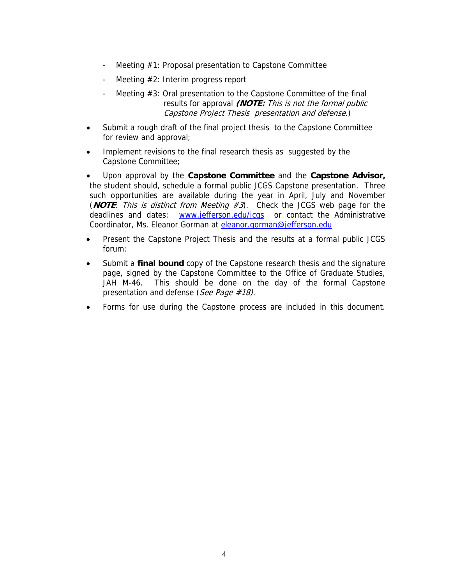- Meeting #1: Proposal presentation to Capstone Committee
- Meeting #2: Interim progress report
- Meeting #3: Oral presentation to the Capstone Committee of the final results for approval **(NOTE:** This is not the formal public Capstone Project Thesis presentation and defense.)
- Submit a rough draft of the final project thesis to the Capstone Committee for review and approval;
- Implement revisions to the final research thesis as suggested by the Capstone Committee;
- Upon approval by the **Capstone Committee** and the **Capstone Advisor,**  the student should, schedule a formal public JCGS Capstone presentation. Three such opportunities are available during the year in April, July and November (**NOTE**: This is distinct from Meeting #3). Check the JCGS web page for the deadlines and dates: www.jefferson.edu/jcgs or contact the Administrative Coordinator, Ms. Eleanor Gorman at eleanor.gorman@jefferson.edu
- Present the Capstone Project Thesis and the results at a formal public JCGS forum;
- Submit a **final bound** copy of the Capstone research thesis and the signature page, signed by the Capstone Committee to the Office of Graduate Studies, JAH M-46. This should be done on the day of the formal Capstone presentation and defense (See Page #18).
- Forms for use during the Capstone process are included in this document.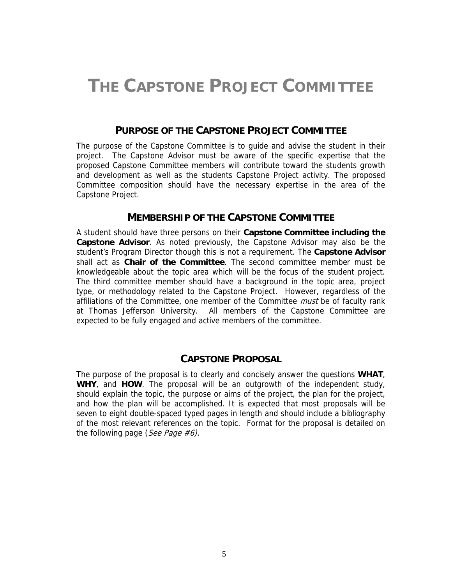### **THE CAPSTONE PROJECT COMMITTEE**

#### **PURPOSE OF THE CAPSTONE PROJECT COMMITTEE**

The purpose of the Capstone Committee is to guide and advise the student in their project. The Capstone Advisor must be aware of the specific expertise that the proposed Capstone Committee members will contribute toward the students growth and development as well as the students Capstone Project activity. The proposed Committee composition should have the necessary expertise in the area of the Capstone Project.

#### **MEMBERSHIP OF THE CAPSTONE COMMITTEE**

A student should have three persons on their **Capstone Committee including the Capstone Advisor**. As noted previously, the Capstone Advisor may also be the student's Program Director though this is not a requirement. The **Capstone Advisor** shall act as **Chair of the Committee**. The second committee member must be knowledgeable about the topic area which will be the focus of the student project. The third committee member should have a background in the topic area, project type, or methodology related to the Capstone Project. However, regardless of the affiliations of the Committee, one member of the Committee *must* be of faculty rank at Thomas Jefferson University. All members of the Capstone Committee are expected to be fully engaged and active members of the committee.

#### **CAPSTONE PROPOSAL**

The purpose of the proposal is to clearly and concisely answer the questions **WHAT**, **WHY**, and **HOW**. The proposal will be an outgrowth of the independent study, should explain the topic, the purpose or aims of the project, the plan for the project, and how the plan will be accomplished. It is expected that most proposals will be seven to eight double-spaced typed pages in length and should include a bibliography of the most relevant references on the topic. Format for the proposal is detailed on the following page (See Page  $#6$ ).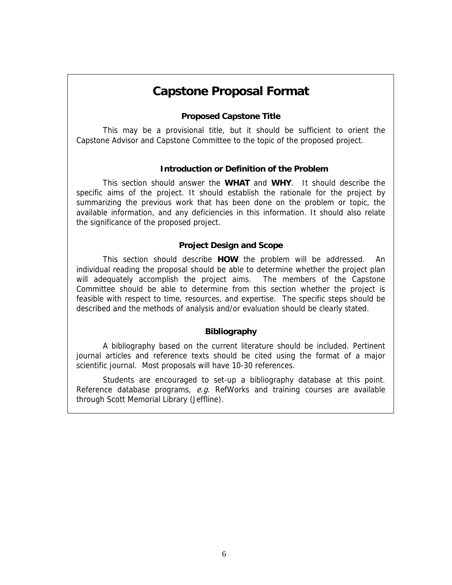### **Capstone Proposal Format**

#### **Proposed Capstone Title**

This may be a provisional title, but it should be sufficient to orient the Capstone Advisor and Capstone Committee to the topic of the proposed project.

#### **Introduction or Definition of the Problem**

This section should answer the **WHAT** and **WHY**. It should describe the specific aims of the project. It should establish the rationale for the project by summarizing the previous work that has been done on the problem or topic, the available information, and any deficiencies in this information. It should also relate the significance of the proposed project.

#### **Project Design and Scope**

This section should describe **HOW** the problem will be addressed. An individual reading the proposal should be able to determine whether the project plan will adequately accomplish the project aims. The members of the Capstone Committee should be able to determine from this section whether the project is feasible with respect to time, resources, and expertise. The specific steps should be described and the methods of analysis and/or evaluation should be clearly stated.

#### **Bibliography**

A bibliography based on the current literature should be included. Pertinent journal articles and reference texts should be cited using the format of a major scientific journal. Most proposals will have 10-30 references.

Students are encouraged to set-up a bibliography database at this point. Reference database programs,  $e.g.$  RefWorks and training courses are available through Scott Memorial Library (Jeffline).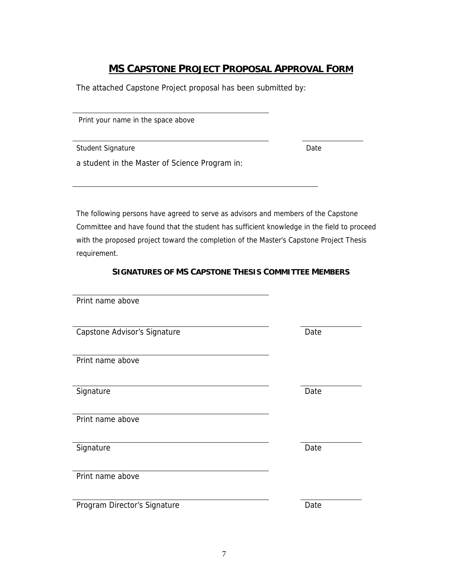### **MS CAPSTONE PROJECT PROPOSAL APPROVAL FORM**

The attached Capstone Project proposal has been submitted by:

Print your name in the space above

Student Signature Date

a student in the Master of Science Program in:

The following persons have agreed to serve as advisors and members of the Capstone Committee and have found that the student has sufficient knowledge in the field to proceed with the proposed project toward the completion of the Master's Capstone Project Thesis requirement.

#### **SIGNATURES OF MS CAPSTONE THESIS COMMITTEE MEMBERS**

| Print name above             |      |
|------------------------------|------|
| Capstone Advisor's Signature | Date |
| Print name above             |      |
| Signature                    | Date |
| Print name above             |      |
| Signature                    | Date |
| Print name above             |      |
|                              |      |
| Program Director's Signature | Date |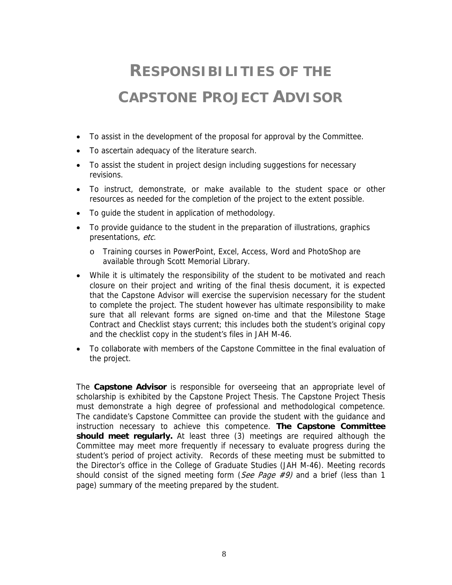## **RESPONSIBILITIES OF THE CAPSTONE PROJECT ADVISOR**

- To assist in the development of the proposal for approval by the Committee.
- To ascertain adequacy of the literature search.
- To assist the student in project design including suggestions for necessary revisions.
- To instruct, demonstrate, or make available to the student space or other resources as needed for the completion of the project to the extent possible.
- To guide the student in application of methodology.
- To provide guidance to the student in the preparation of illustrations, graphics presentations, etc.
	- o Training courses in PowerPoint, Excel, Access, Word and PhotoShop are available through Scott Memorial Library.
- While it is ultimately the responsibility of the student to be motivated and reach closure on their project and writing of the final thesis document, it is expected that the Capstone Advisor will exercise the supervision necessary for the student to complete the project. The student however has ultimate responsibility to make sure that all relevant forms are signed on-time and that the Milestone Stage Contract and Checklist stays current; this includes both the student's original copy and the checklist copy in the student's files in JAH M-46.
- To collaborate with members of the Capstone Committee in the final evaluation of the project.

The **Capstone Advisor** is responsible for overseeing that an appropriate level of scholarship is exhibited by the Capstone Project Thesis. The Capstone Project Thesis must demonstrate a high degree of professional and methodological competence. The candidate's Capstone Committee can provide the student with the guidance and instruction necessary to achieve this competence. **The Capstone Committee should meet regularly.** At least three (3) meetings are required although the Committee may meet more frequently if necessary to evaluate progress during the student's period of project activity. Records of these meeting must be submitted to the Director's office in the College of Graduate Studies (JAH M-46). Meeting records should consist of the signed meeting form (See Page  $\#9$ ) and a brief (less than 1 page) summary of the meeting prepared by the student.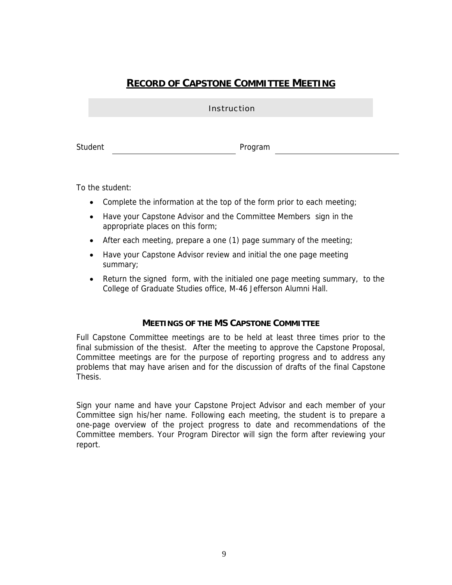### **RECORD OF CAPSTONE COMMITTEE MEETING**

|         | <b>Instruction</b> |  |  |
|---------|--------------------|--|--|
|         |                    |  |  |
| Student | Program            |  |  |

To the student:

- Complete the information at the top of the form prior to each meeting;
- Have your Capstone Advisor and the Committee Members sign in the appropriate places on this form;
- After each meeting, prepare a one (1) page summary of the meeting;
- Have your Capstone Advisor review and initial the one page meeting summary;
- Return the signed form, with the initialed one page meeting summary, to the College of Graduate Studies office, M-46 Jefferson Alumni Hall.

#### **MEETINGS OF THE MS CAPSTONE COMMITTEE**

Full Capstone Committee meetings are to be held at least three times prior to the final submission of the thesist. After the meeting to approve the Capstone Proposal, Committee meetings are for the purpose of reporting progress and to address any problems that may have arisen and for the discussion of drafts of the final Capstone **Thesis.** 

Sign your name and have your Capstone Project Advisor and each member of your Committee sign his/her name. Following each meeting, the student is to prepare a one-page overview of the project progress to date and recommendations of the Committee members. Your Program Director will sign the form after reviewing your report.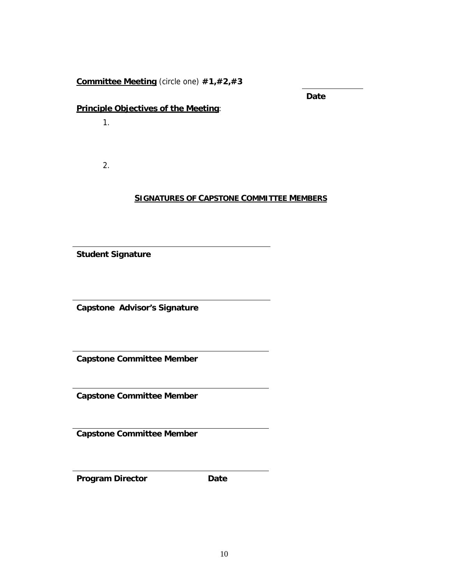**Committee Meeting** (circle one) **#1,#2,#3**

**Date** 

#### **Principle Objectives of the Meeting**:

1.

2.

#### **SIGNATURES OF CAPSTONE COMMITTEE MEMBERS**

**Student Signature**

**Capstone Advisor's Signature**

**Capstone Committee Member**

**Capstone Committee Member**

**Capstone Committee Member**

**Program Director Date**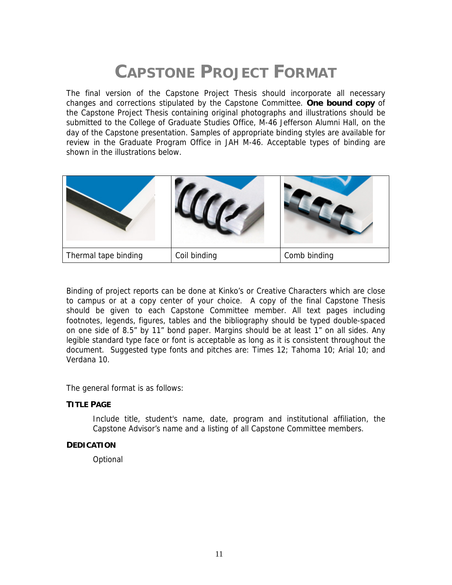## **CAPSTONE PROJECT FORMAT**

The final version of the Capstone Project Thesis should incorporate all necessary changes and corrections stipulated by the Capstone Committee. **One bound copy** of the Capstone Project Thesis containing original photographs and illustrations should be submitted to the College of Graduate Studies Office, M-46 Jefferson Alumni Hall, on the day of the Capstone presentation. Samples of appropriate binding styles are available for review in the Graduate Program Office in JAH M-46. Acceptable types of binding are shown in the illustrations below.

| Thermal tape binding | Coil binding | Comb binding |
|----------------------|--------------|--------------|

Binding of project reports can be done at Kinko's or Creative Characters which are close to campus or at a copy center of your choice. A copy of the final Capstone Thesis should be given to each Capstone Committee member. All text pages including footnotes, legends, figures, tables and the bibliography should be typed double-spaced on one side of 8.5" by 11" bond paper. Margins should be at least 1" on all sides. Any legible standard type face or font is acceptable as long as it is consistent throughout the document. Suggested type fonts and pitches are: Times 12; Tahoma 10; Arial 10; and Verdana 10.

The general format is as follows:

#### **TITLE PAGE**

Include title, student's name, date, program and institutional affiliation, the Capstone Advisor's name and a listing of all Capstone Committee members.

#### **DEDICATION**

**Optional**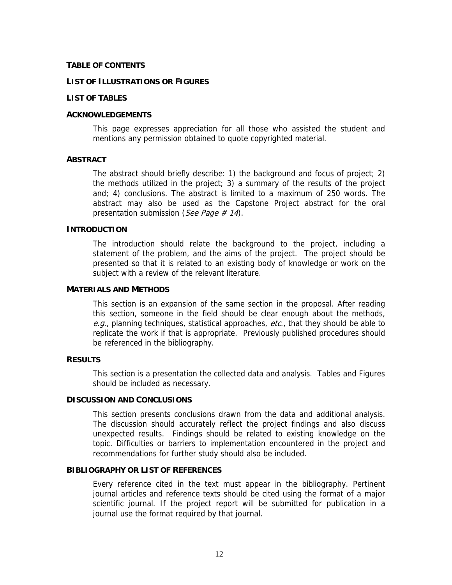#### **TABLE OF CONTENTS**

#### **LIST OF ILLUSTRATIONS OR FIGURES**

#### **LIST OF TABLES**

#### **ACKNOWLEDGEMENTS**

 This page expresses appreciation for all those who assisted the student and mentions any permission obtained to quote copyrighted material.

#### **ABSTRACT**

The abstract should briefly describe: 1) the background and focus of project; 2) the methods utilized in the project; 3) a summary of the results of the project and; 4) conclusions. The abstract is limited to a maximum of 250 words. The abstract may also be used as the Capstone Project abstract for the oral presentation submission (See Page  $\#$  14).

#### **INTRODUCTION**

The introduction should relate the background to the project, including a statement of the problem, and the aims of the project. The project should be presented so that it is related to an existing body of knowledge or work on the subject with a review of the relevant literature.

#### **MATERIALS AND METHODS**

This section is an expansion of the same section in the proposal. After reading this section, someone in the field should be clear enough about the methods, e.g., planning techniques, statistical approaches, etc., that they should be able to replicate the work if that is appropriate. Previously published procedures should be referenced in the bibliography.

#### **RESULTS**

This section is a presentation the collected data and analysis. Tables and Figures should be included as necessary.

#### **DISCUSSION AND CONCLUSIONS**

This section presents conclusions drawn from the data and additional analysis. The discussion should accurately reflect the project findings and also discuss unexpected results. Findings should be related to existing knowledge on the topic. Difficulties or barriers to implementation encountered in the project and recommendations for further study should also be included.

#### **BIBLIOGRAPHY OR LIST OF REFERENCES**

Every reference cited in the text must appear in the bibliography. Pertinent journal articles and reference texts should be cited using the format of a major scientific journal. If the project report will be submitted for publication in a journal use the format required by that journal.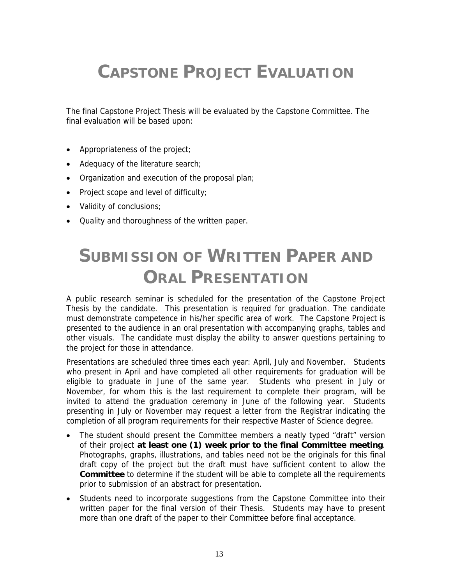## **CAPSTONE PROJECT EVALUATION**

The final Capstone Project Thesis will be evaluated by the Capstone Committee. The final evaluation will be based upon:

- Appropriateness of the project;
- Adequacy of the literature search;
- Organization and execution of the proposal plan;
- Project scope and level of difficulty;
- Validity of conclusions;
- Quality and thoroughness of the written paper.

## **SUBMISSION OF WRITTEN PAPER AND ORAL PRESENTATION**

A public research seminar is scheduled for the presentation of the Capstone Project Thesis by the candidate. This presentation is required for graduation. The candidate must demonstrate competence in his/her specific area of work. The Capstone Project is presented to the audience in an oral presentation with accompanying graphs, tables and other visuals. The candidate must display the ability to answer questions pertaining to the project for those in attendance.

Presentations are scheduled three times each year: April, July and November. Students who present in April and have completed all other requirements for graduation will be eligible to graduate in June of the same year. Students who present in July or November, for whom this is the last requirement to complete their program, will be invited to attend the graduation ceremony in June of the following year. Students presenting in July or November may request a letter from the Registrar indicating the completion of all program requirements for their respective Master of Science degree.

- The student should present the Committee members a neatly typed "draft" version of their project **at least one (1) week prior to the final Committee meeting**. Photographs, graphs, illustrations, and tables need not be the originals for this final draft copy of the project but the draft must have sufficient content to allow the **Committee** to determine if the student will be able to complete all the requirements prior to submission of an abstract for presentation.
- Students need to incorporate suggestions from the Capstone Committee into their written paper for the final version of their Thesis. Students may have to present more than one draft of the paper to their Committee before final acceptance.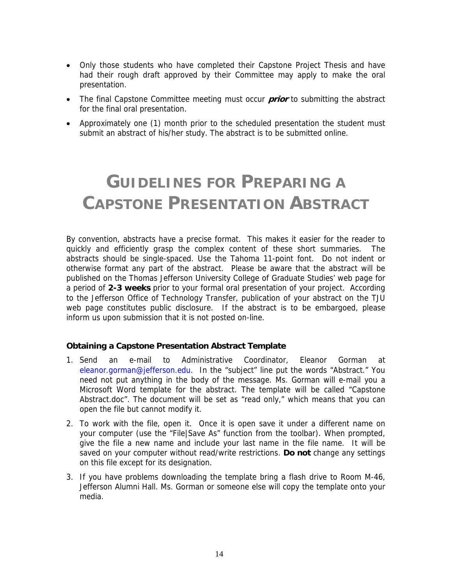- Only those students who have completed their Capstone Project Thesis and have had their rough draft approved by their Committee may apply to make the oral presentation.
- The final Capstone Committee meeting must occur **prior** to submitting the abstract for the final oral presentation.
- Approximately one (1) month prior to the scheduled presentation the student must submit an abstract of his/her study. The abstract is to be submitted online.

## **GUIDELINES FOR PREPARING A CAPSTONE PRESENTATION ABSTRACT**

By convention, abstracts have a precise format. This makes it easier for the reader to quickly and efficiently grasp the complex content of these short summaries. The abstracts should be single-spaced. Use the Tahoma 11-point font. Do not indent or otherwise format any part of the abstract. Please be aware that the abstract will be published on the Thomas Jefferson University College of Graduate Studies' web page for a period of **2-3 weeks** prior to your formal oral presentation of your project. According to the Jefferson Office of Technology Transfer, publication of your abstract on the TJU web page constitutes public disclosure. If the abstract is to be embargoed, please inform us upon submission that it is not posted on-line.

#### **Obtaining a Capstone Presentation Abstract Template**

- 1. Send an e-mail to Administrative Coordinator, Eleanor Gorman at eleanor.gorman@jefferson.edu. In the "subject" line put the words "Abstract." You need not put anything in the body of the message. Ms. Gorman will e-mail you a Microsoft Word template for the abstract. The template will be called "Capstone Abstract.doc". The document will be set as "read only," which means that you can open the file but cannot modify it.
- 2. To work with the file, open it. Once it is open save it under a different name on your computer (use the "File|Save As" function from the toolbar). When prompted, give the file a new name and include your last name in the file name. It will be saved on your computer without read/write restrictions. **Do not** change any settings on this file except for its designation.
- 3. If you have problems downloading the template bring a flash drive to Room M-46, Jefferson Alumni Hall. Ms. Gorman or someone else will copy the template onto your media.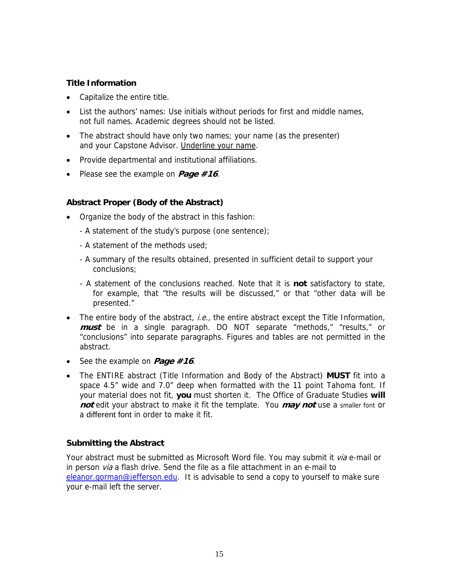#### **Title Information**

- Capitalize the entire title.
- List the authors' names: Use initials without periods for first and middle names, not full names. Academic degrees should not be listed.
- The abstract should have only two names; your name (as the presenter) and your Capstone Advisor. Underline your name.
- Provide departmental and institutional affiliations.
- Please see the example on **Page #16**.

#### **Abstract Proper (Body of the Abstract)**

- Organize the body of the abstract in this fashion:
	- A statement of the study's purpose (one sentence);
	- A statement of the methods used;
	- A summary of the results obtained, presented in sufficient detail to support your conclusions;
	- A statement of the conclusions reached. Note that it is **not** satisfactory to state, for example, that "the results will be discussed," or that "other data will be presented."
- The entire body of the abstract, *i.e.*, the entire abstract except the Title Information, **must** be in a single paragraph. DO NOT separate "methods," "results," or "conclusions" into separate paragraphs. Figures and tables are not permitted in the abstract.
- See the example on **Page #16**.
- The ENTIRE abstract (Title Information and Body of the Abstract) **MUST** fit into a space 4.5" wide and 7.0" deep when formatted with the 11 point Tahoma font. If your material does not fit, **you** must shorten it. The Office of Graduate Studies **will not** edit your abstract to make it fit the template. You **may not** use a smaller font or a different font in order to make it fit.

#### **Submitting the Abstract**

Your abstract must be submitted as Microsoft Word file. You may submit it via e-mail or in person via a flash drive. Send the file as a file attachment in an e-mail to eleanor.gorman@jefferson.edu. It is advisable to send a copy to yourself to make sure your e-mail left the server.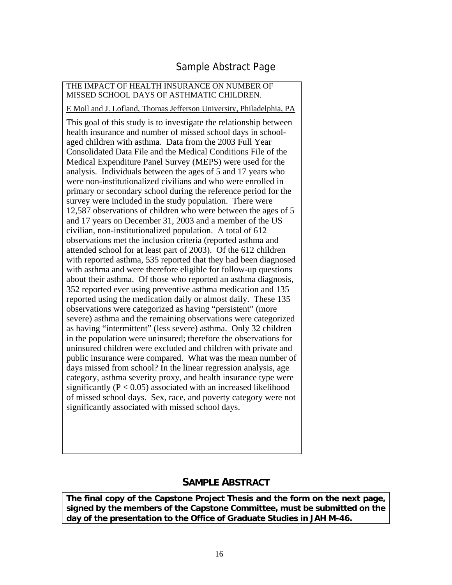### Sample Abstract Page

#### THE IMPACT OF HEALTH INSURANCE ON NUMBER OF MISSED SCHOOL DAYS OF ASTHMATIC CHILDREN.

E Moll and J. Lofland, Thomas Jefferson University, Philadelphia, PA

This goal of this study is to investigate the relationship between health insurance and number of missed school days in schoolaged children with asthma. Data from the 2003 Full Year Consolidated Data File and the Medical Conditions File of the Medical Expenditure Panel Survey (MEPS) were used for the analysis. Individuals between the ages of 5 and 17 years who were non-institutionalized civilians and who were enrolled in primary or secondary school during the reference period for the survey were included in the study population. There were 12,587 observations of children who were between the ages of 5 and 17 years on December 31, 2003 and a member of the US civilian, non-institutionalized population. A total of 612 observations met the inclusion criteria (reported asthma and attended school for at least part of 2003). Of the 612 children with reported asthma, 535 reported that they had been diagnosed with asthma and were therefore eligible for follow-up questions about their asthma. Of those who reported an asthma diagnosis, 352 reported ever using preventive asthma medication and 135 reported using the medication daily or almost daily. These 135 observations were categorized as having "persistent" (more severe) asthma and the remaining observations were categorized as having "intermittent" (less severe) asthma. Only 32 children in the population were uninsured; therefore the observations for uninsured children were excluded and children with private and public insurance were compared. What was the mean number of days missed from school? In the linear regression analysis, age category, asthma severity proxy, and health insurance type were significantly  $(P < 0.05)$  associated with an increased likelihood of missed school days. Sex, race, and poverty category were not significantly associated with missed school days.

#### **SAMPLE ABSTRACT**

**The final copy of the Capstone Project Thesis and the form on the next page, signed by the members of the Capstone Committee, must be submitted on the day of the presentation to the Office of Graduate Studies in JAH M-46.**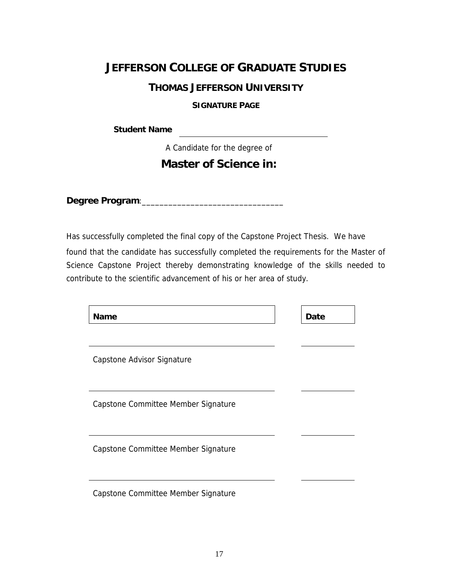### **JEFFERSON COLLEGE OF GRADUATE STUDIES**

#### **THOMAS JEFFERSON UNIVERSITY**

#### **SIGNATURE PAGE**

<u> 1989 - Johann Barn, mars ar breis an t-</u>

**Student Name** 

A Candidate for the degree of

### **Master of Science in:**

**Degree Program**:\_\_\_\_\_\_\_\_\_\_\_\_\_\_\_\_\_\_\_\_\_\_\_\_\_\_\_\_\_\_\_\_

Has successfully completed the final copy of the Capstone Project Thesis. We have found that the candidate has successfully completed the requirements for the Master of Science Capstone Project thereby demonstrating knowledge of the skills needed to contribute to the scientific advancement of his or her area of study.

| <b>Name</b>                         | Date |
|-------------------------------------|------|
| Capstone Advisor Signature          |      |
| Capstone Committee Member Signature |      |
| Capstone Committee Member Signature |      |
| Capstone Committee Member Signature |      |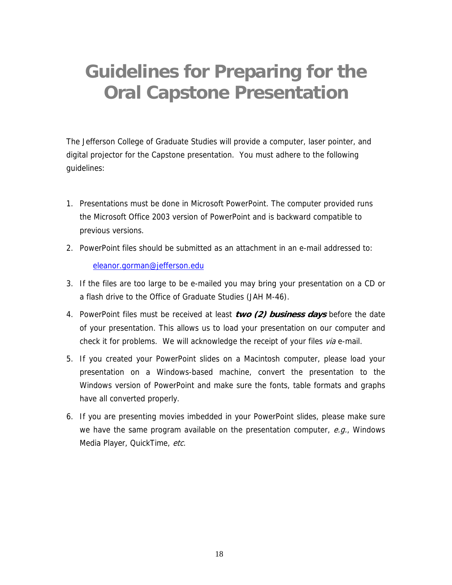## **Guidelines for Preparing for the Oral Capstone Presentation**

The Jefferson College of Graduate Studies will provide a computer, laser pointer, and digital projector for the Capstone presentation. You must adhere to the following guidelines:

- 1. Presentations must be done in Microsoft PowerPoint. The computer provided runs the Microsoft Office 2003 version of PowerPoint and is backward compatible to previous versions.
- 2. PowerPoint files should be submitted as an attachment in an e-mail addressed to: eleanor.gorman@jefferson.edu
- 3. If the files are too large to be e-mailed you may bring your presentation on a CD or a flash drive to the Office of Graduate Studies (JAH M-46).
- 4. PowerPoint files must be received at least **two (2) business days** before the date of your presentation. This allows us to load your presentation on our computer and check it for problems. We will acknowledge the receipt of your files via e-mail.
- 5. If you created your PowerPoint slides on a Macintosh computer, please load your presentation on a Windows-based machine, convert the presentation to the Windows version of PowerPoint and make sure the fonts, table formats and graphs have all converted properly.
- 6. If you are presenting movies imbedded in your PowerPoint slides, please make sure we have the same program available on the presentation computer,  $e.g.,$  Windows Media Player, QuickTime, etc.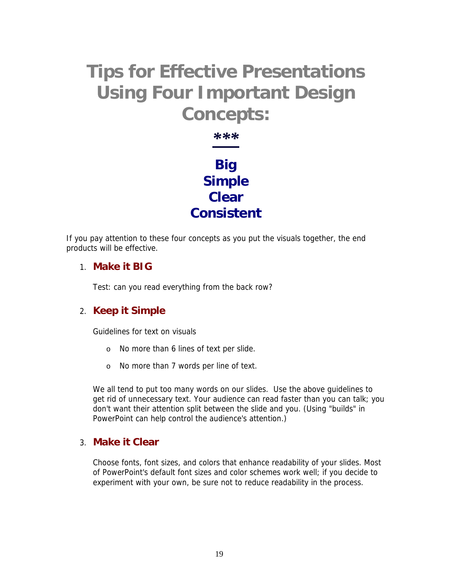## **Tips for Effective Presentations Using Four Important Design Concepts:**

*\*\*\** **Big Simple Clear Consistent**

If you pay attention to these four concepts as you put the visuals together, the end products will be effective.

#### 1. **Make it BIG**

Test: can you read everything from the back row?

### 2. **Keep it Simple**

Guidelines for text on visuals

- o No more than 6 lines of text per slide.
- o No more than 7 words per line of text.

We all tend to put too many words on our slides. Use the above guidelines to get rid of unnecessary text. Your audience can read faster than you can talk; you don't want their attention split between the slide and you. (Using "builds" in PowerPoint can help control the audience's attention.)

#### 3. **Make it Clear**

Choose fonts, font sizes, and colors that enhance readability of your slides. Most of PowerPoint's default font sizes and color schemes work well; if you decide to experiment with your own, be sure not to reduce readability in the process.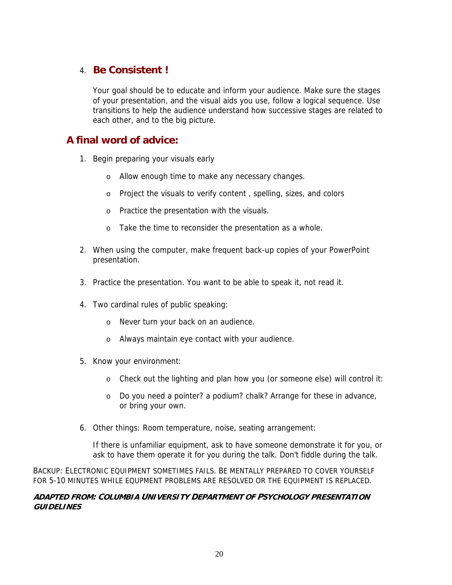### 4. **Be Consistent !**

Your goal should be to educate and inform your audience. Make sure the stages of your presentation, and the visual aids you use, follow a logical sequence. Use transitions to help the audience understand how successive stages are related to each other, and to the big picture.

### **A final word of advice:**

- 1. Begin preparing your visuals early
	- o Allow enough time to make any necessary changes.
	- o Project the visuals to verify content , spelling, sizes, and colors
	- o Practice the presentation with the visuals.
	- o Take the time to reconsider the presentation as a whole.
- 2. When using the computer, make frequent back-up copies of your PowerPoint presentation.
- 3. Practice the presentation. You want to be able to speak it, not read it.
- 4. Two cardinal rules of public speaking:
	- o Never turn your back on an audience.
	- o Always maintain eye contact with your audience.
- 5. Know your environment:
	- o Check out the lighting and plan how you (or someone else) will control it:
	- o Do you need a pointer? a podium? chalk? Arrange for these in advance, or bring your own.
- 6. Other things: Room temperature, noise, seating arrangement:

If there is unfamiliar equipment, ask to have someone demonstrate it for you, or ask to have them operate it for you during the talk. Don't fiddle during the talk.

BACKUP: ELECTRONIC EQUIPMENT SOMETIMES FAILS. BE MENTALLY PREPARED TO COVER YOURSELF FOR 5-10 MINUTES WHILE EQUPMENT PROBLEMS ARE RESOLVED OR THE EQUIPMENT IS REPLACED.

#### **ADAPTED FROM: COLUMBIA UNIVERSITY DEPARTMENT OF PSYCHOLOGY PRESENTATION GUIDELINES**